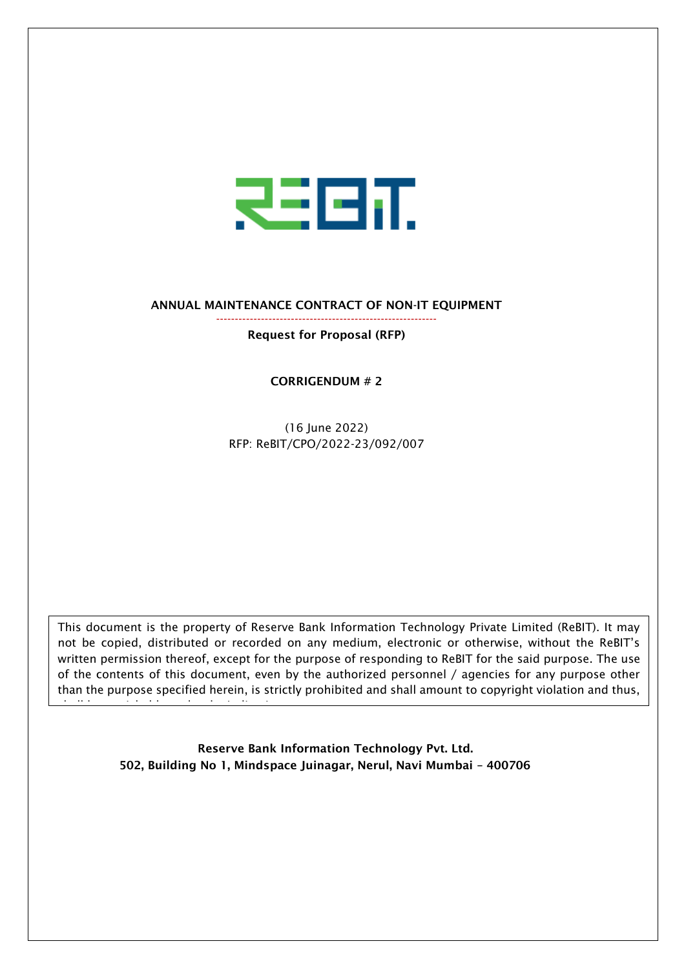

ANNUAL MAINTENANCE CONTRACT OF NON-IT EQUIPMENT -----------------------------------------------------------

Request for Proposal (RFP)

CORRIGENDUM # 2

(16 June 2022) RFP: ReBIT/CPO/2022-23/092/007

This document is the property of Reserve Bank Information Technology Private Limited (ReBIT). It may not be copied, distributed or recorded on any medium, electronic or otherwise, without the ReBIT's written permission thereof, except for the purpose of responding to ReBIT for the said purpose. The use of the contents of this document, even by the authorized personnel / agencies for any purpose other than the purpose specified herein, is strictly prohibited and shall amount to copyright violation and thus,

> Reserve Bank Information Technology Pvt. Ltd. 502, Building No 1, Mindspace Juinagar, Nerul, Navi Mumbai – 400706

shall be punishable under the Indian Law.